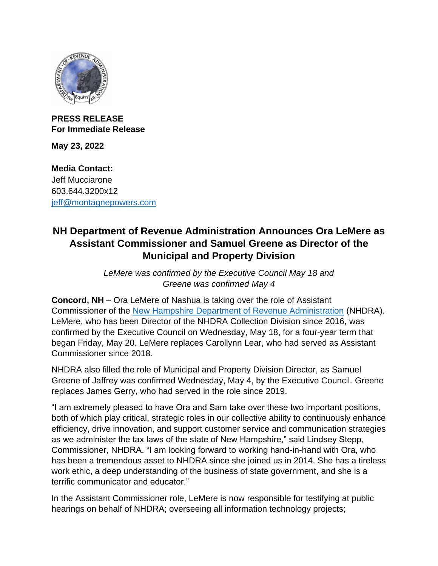

## **PRESS RELEASE For Immediate Release**

**May 23, 2022**

**Media Contact:** Jeff Mucciarone 603.644.3200x12 [jeff@montagnepowers.com](mailto:jeff@montagnepowers.com)

## **NH Department of Revenue Administration Announces Ora LeMere as Assistant Commissioner and Samuel Greene as Director of the Municipal and Property Division**

*LeMere was confirmed by the Executive Council May 18 and Greene was confirmed May 4*

**Concord, NH** – Ora LeMere of Nashua is taking over the role of Assistant Commissioner of the [New Hampshire Department of Revenue Administration](https://www.revenue.nh.gov/) (NHDRA). LeMere, who has been Director of the NHDRA Collection Division since 2016, was confirmed by the Executive Council on Wednesday, May 18, for a four-year term that began Friday, May 20. LeMere replaces Carollynn Lear, who had served as Assistant Commissioner since 2018.

NHDRA also filled the role of Municipal and Property Division Director, as Samuel Greene of Jaffrey was confirmed Wednesday, May 4, by the Executive Council. Greene replaces James Gerry, who had served in the role since 2019.

"I am extremely pleased to have Ora and Sam take over these two important positions, both of which play critical, strategic roles in our collective ability to continuously enhance efficiency, drive innovation, and support customer service and communication strategies as we administer the tax laws of the state of New Hampshire," said Lindsey Stepp, Commissioner, NHDRA. "I am looking forward to working hand-in-hand with Ora, who has been a tremendous asset to NHDRA since she joined us in 2014. She has a tireless work ethic, a deep understanding of the business of state government, and she is a terrific communicator and educator."

In the Assistant Commissioner role, LeMere is now responsible for testifying at public hearings on behalf of NHDRA; overseeing all information technology projects;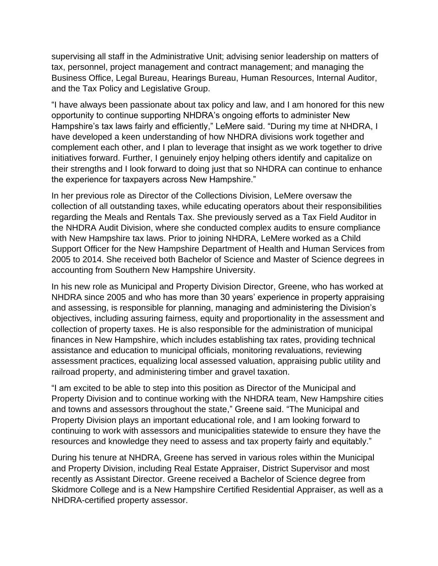supervising all staff in the Administrative Unit; advising senior leadership on matters of tax, personnel, project management and contract management; and managing the Business Office, Legal Bureau, Hearings Bureau, Human Resources, Internal Auditor, and the Tax Policy and Legislative Group.

"I have always been passionate about tax policy and law, and I am honored for this new opportunity to continue supporting NHDRA's ongoing efforts to administer New Hampshire's tax laws fairly and efficiently," LeMere said. "During my time at NHDRA, I have developed a keen understanding of how NHDRA divisions work together and complement each other, and I plan to leverage that insight as we work together to drive initiatives forward. Further, I genuinely enjoy helping others identify and capitalize on their strengths and I look forward to doing just that so NHDRA can continue to enhance the experience for taxpayers across New Hampshire."

In her previous role as Director of the Collections Division, LeMere oversaw the collection of all outstanding taxes, while educating operators about their responsibilities regarding the Meals and Rentals Tax. She previously served as a Tax Field Auditor in the NHDRA Audit Division, where she conducted complex audits to ensure compliance with New Hampshire tax laws. Prior to joining NHDRA, LeMere worked as a Child Support Officer for the New Hampshire Department of Health and Human Services from 2005 to 2014. She received both Bachelor of Science and Master of Science degrees in accounting from Southern New Hampshire University.

In his new role as Municipal and Property Division Director, Greene, who has worked at NHDRA since 2005 and who has more than 30 years' experience in property appraising and assessing, is responsible for planning, managing and administering the Division's objectives, including assuring fairness, equity and proportionality in the assessment and collection of property taxes. He is also responsible for the administration of municipal finances in New Hampshire, which includes establishing tax rates, providing technical assistance and education to municipal officials, monitoring revaluations, reviewing assessment practices, equalizing local assessed valuation, appraising public utility and railroad property, and administering timber and gravel taxation.

"I am excited to be able to step into this position as Director of the Municipal and Property Division and to continue working with the NHDRA team, New Hampshire cities and towns and assessors throughout the state," Greene said. "The Municipal and Property Division plays an important educational role, and I am looking forward to continuing to work with assessors and municipalities statewide to ensure they have the resources and knowledge they need to assess and tax property fairly and equitably."

During his tenure at NHDRA, Greene has served in various roles within the Municipal and Property Division, including Real Estate Appraiser, District Supervisor and most recently as Assistant Director. Greene received a Bachelor of Science degree from Skidmore College and is a New Hampshire Certified Residential Appraiser, as well as a NHDRA-certified property assessor.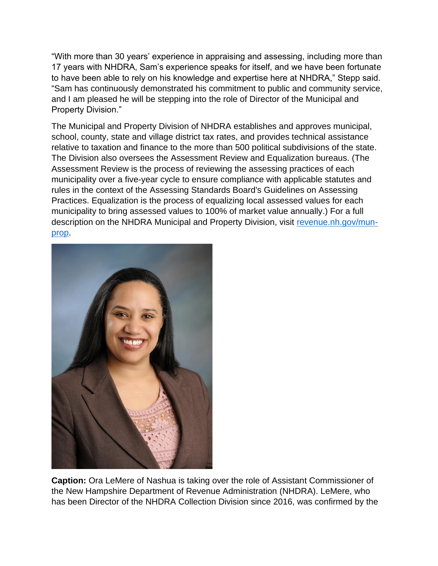"With more than 30 years' experience in appraising and assessing, including more than 17 years with NHDRA, Sam's experience speaks for itself, and we have been fortunate to have been able to rely on his knowledge and expertise here at NHDRA," Stepp said. "Sam has continuously demonstrated his commitment to public and community service, and I am pleased he will be stepping into the role of Director of the Municipal and Property Division."

The Municipal and Property Division of NHDRA establishes and approves municipal, school, county, state and village district tax rates, and provides technical assistance relative to taxation and finance to the more than 500 political subdivisions of the state. The Division also oversees the Assessment Review and Equalization bureaus. (The Assessment Review is the process of reviewing the assessing practices of each municipality over a five-year cycle to ensure compliance with applicable statutes and rules in the context of the Assessing Standards Board's Guidelines on Assessing Practices. Equalization is the process of equalizing local assessed values for each municipality to bring assessed values to 100% of market value annually.) For a full description on the NHDRA Municipal and Property Division, visit [revenue.nh.gov/mun](https://www.revenue.nh.gov/mun-prop/)[prop.](https://www.revenue.nh.gov/mun-prop/)



**Caption:** Ora LeMere of Nashua is taking over the role of Assistant Commissioner of the New Hampshire Department of Revenue Administration (NHDRA). LeMere, who has been Director of the NHDRA Collection Division since 2016, was confirmed by the